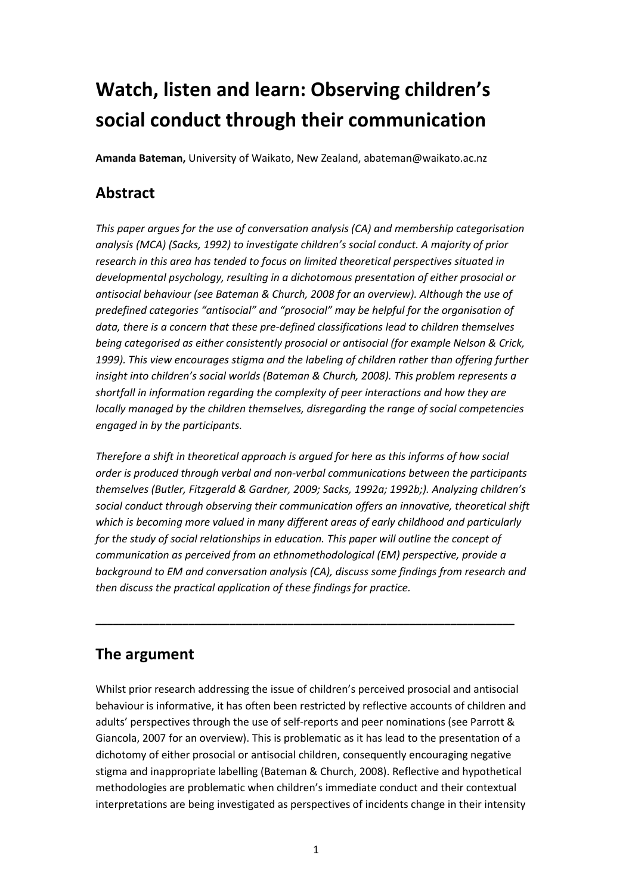# **Watch, listen and learn: Observing children's social conduct through their communication**

**Amanda Bateman,** University of Waikato, New Zealand, abateman@waikato.ac.nz

### **Abstract**

*This paper argues for the use of conversation analysis (CA) and membership categorisation analysis (MCA) (Sacks, 1992) to investigate children's social conduct. A majority of prior research in this area has tended to focus on limited theoretical perspectives situated in developmental psychology, resulting in a dichotomous presentation of either prosocial or antisocial behaviour (see Bateman & Church, 2008 for an overview). Although the use of predefined categories "antisocial" and "prosocial" may be helpful for the organisation of data, there is a concern that these pre-defined classifications lead to children themselves being categorised as either consistently prosocial or antisocial (for example Nelson & Crick, 1999). This view encourages stigma and the labeling of children rather than offering further insight into children's social worlds (Bateman & Church, 2008). This problem represents a shortfall in information regarding the complexity of peer interactions and how they are locally managed by the children themselves, disregarding the range of social competencies engaged in by the participants.* 

*Therefore a shift in theoretical approach is argued for here as this informs of how social order is produced through verbal and non-verbal communications between the participants themselves (Butler, Fitzgerald & Gardner, 2009; Sacks, 1992a; 1992b;). Analyzing children's social conduct through observing their communication offers an innovative, theoretical shift which is becoming more valued in many different areas of early childhood and particularly for the study of social relationships in education. This paper will outline the concept of communication as perceived from an ethnomethodological (EM) perspective, provide a background to EM and conversation analysis (CA), discuss some findings from research and then discuss the practical application of these findings for practice.* 

**\_\_\_\_\_\_\_\_\_\_\_\_\_\_\_\_\_\_\_\_\_\_\_\_\_\_\_\_\_\_\_\_\_\_\_\_\_\_\_\_\_\_\_\_\_\_\_\_\_\_\_\_\_\_\_\_\_\_\_\_\_\_\_\_\_\_\_\_\_\_\_\_** 

### **The argument**

Whilst prior research addressing the issue of children's perceived prosocial and antisocial behaviour is informative, it has often been restricted by reflective accounts of children and adults' perspectives through the use of self-reports and peer nominations (see Parrott & Giancola, 2007 for an overview). This is problematic as it has lead to the presentation of a dichotomy of either prosocial or antisocial children, consequently encouraging negative stigma and inappropriate labelling (Bateman & Church, 2008). Reflective and hypothetical methodologies are problematic when children's immediate conduct and their contextual interpretations are being investigated as perspectives of incidents change in their intensity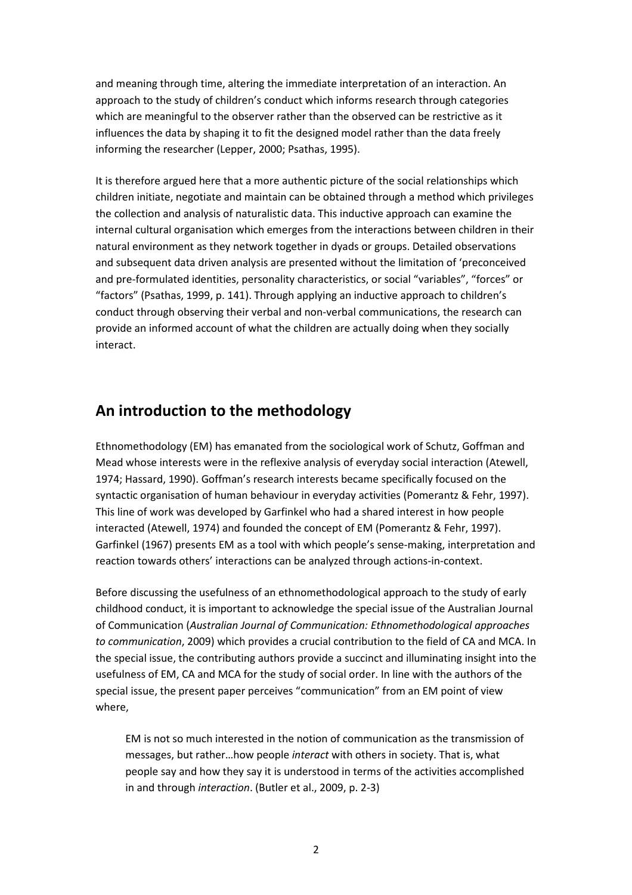and meaning through time, altering the immediate interpretation of an interaction. An approach to the study of children's conduct which informs research through categories which are meaningful to the observer rather than the observed can be restrictive as it influences the data by shaping it to fit the designed model rather than the data freely informing the researcher (Lepper, 2000; Psathas, 1995).

It is therefore argued here that a more authentic picture of the social relationships which children initiate, negotiate and maintain can be obtained through a method which privileges the collection and analysis of naturalistic data. This inductive approach can examine the internal cultural organisation which emerges from the interactions between children in their natural environment as they network together in dyads or groups. Detailed observations and subsequent data driven analysis are presented without the limitation of 'preconceived and pre-formulated identities, personality characteristics, or social "variables", "forces" or "factors" (Psathas, 1999, p. 141). Through applying an inductive approach to children's conduct through observing their verbal and non-verbal communications, the research can provide an informed account of what the children are actually doing when they socially interact.

### **An introduction to the methodology**

Ethnomethodology (EM) has emanated from the sociological work of Schutz, Goffman and Mead whose interests were in the reflexive analysis of everyday social interaction (Atewell, 1974; Hassard, 1990). Goffman's research interests became specifically focused on the syntactic organisation of human behaviour in everyday activities (Pomerantz & Fehr, 1997). This line of work was developed by Garfinkel who had a shared interest in how people interacted (Atewell, 1974) and founded the concept of EM (Pomerantz & Fehr, 1997). Garfinkel (1967) presents EM as a tool with which people's sense-making, interpretation and reaction towards others' interactions can be analyzed through actions-in-context.

Before discussing the usefulness of an ethnomethodological approach to the study of early childhood conduct, it is important to acknowledge the special issue of the Australian Journal of Communication (*Australian Journal of Communication: Ethnomethodological approaches to communication*, 2009) which provides a crucial contribution to the field of CA and MCA. In the special issue, the contributing authors provide a succinct and illuminating insight into the usefulness of EM, CA and MCA for the study of social order. In line with the authors of the special issue, the present paper perceives "communication" from an EM point of view where,

EM is not so much interested in the notion of communication as the transmission of messages, but rather…how people *interact* with others in society. That is, what people say and how they say it is understood in terms of the activities accomplished in and through *interaction*. (Butler et al., 2009, p. 2-3)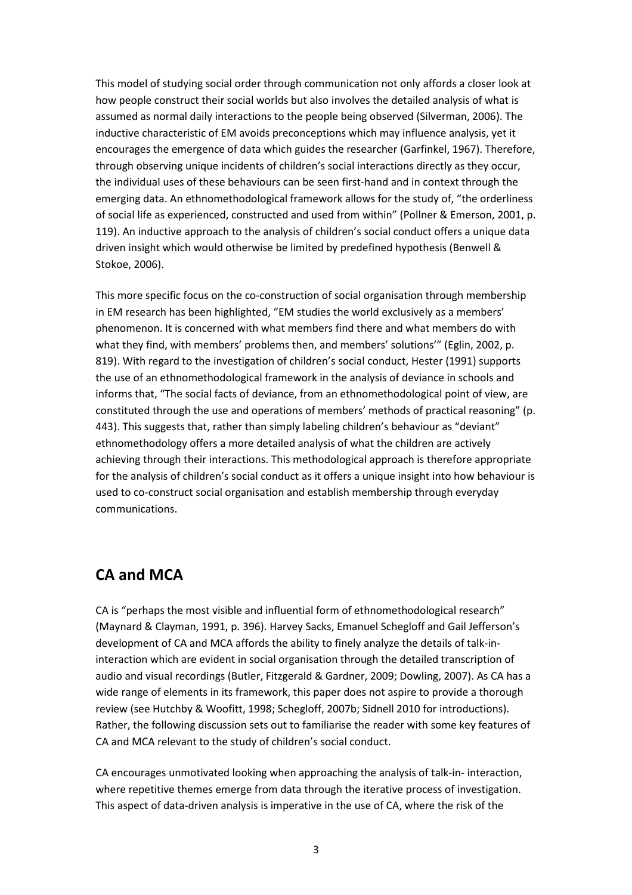This model of studying social order through communication not only affords a closer look at how people construct their social worlds but also involves the detailed analysis of what is assumed as normal daily interactions to the people being observed (Silverman, 2006). The inductive characteristic of EM avoids preconceptions which may influence analysis, yet it encourages the emergence of data which guides the researcher (Garfinkel, 1967). Therefore, through observing unique incidents of children's social interactions directly as they occur, the individual uses of these behaviours can be seen first-hand and in context through the emerging data. An ethnomethodological framework allows for the study of, "the orderliness of social life as experienced, constructed and used from within" (Pollner & Emerson, 2001, p. 119). An inductive approach to the analysis of children's social conduct offers a unique data driven insight which would otherwise be limited by predefined hypothesis (Benwell & Stokoe, 2006).

This more specific focus on the co-construction of social organisation through membership in EM research has been highlighted, "EM studies the world exclusively as a members' phenomenon. It is concerned with what members find there and what members do with what they find, with members' problems then, and members' solutions'" (Eglin, 2002, p. 819). With regard to the investigation of children's social conduct, Hester (1991) supports the use of an ethnomethodological framework in the analysis of deviance in schools and informs that, "The social facts of deviance, from an ethnomethodological point of view, are constituted through the use and operations of members' methods of practical reasoning" (p. 443). This suggests that, rather than simply labeling children's behaviour as "deviant" ethnomethodology offers a more detailed analysis of what the children are actively achieving through their interactions. This methodological approach is therefore appropriate for the analysis of children's social conduct as it offers a unique insight into how behaviour is used to co-construct social organisation and establish membership through everyday communications.

### **CA and MCA**

CA is "perhaps the most visible and influential form of ethnomethodological research" (Maynard & Clayman, 1991, p. 396). Harvey Sacks, Emanuel Schegloff and Gail Jefferson's development of CA and MCA affords the ability to finely analyze the details of talk-ininteraction which are evident in social organisation through the detailed transcription of audio and visual recordings (Butler, Fitzgerald & Gardner, 2009; Dowling, 2007). As CA has a wide range of elements in its framework, this paper does not aspire to provide a thorough review (see Hutchby & Woofitt, 1998; Schegloff, 2007b; Sidnell 2010 for introductions). Rather, the following discussion sets out to familiarise the reader with some key features of CA and MCA relevant to the study of children's social conduct.

CA encourages unmotivated looking when approaching the analysis of talk-in- interaction, where repetitive themes emerge from data through the iterative process of investigation. This aspect of data-driven analysis is imperative in the use of CA, where the risk of the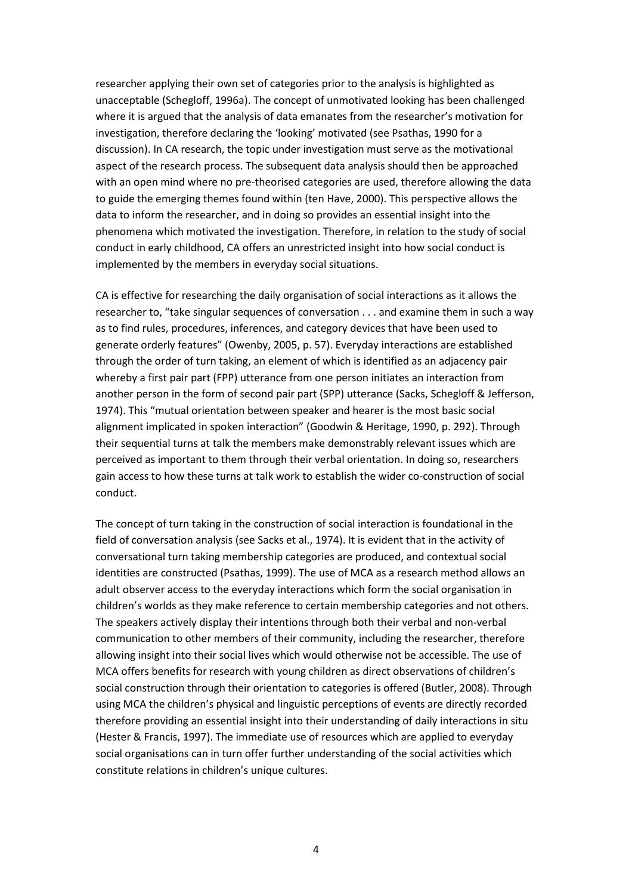researcher applying their own set of categories prior to the analysis is highlighted as unacceptable (Schegloff, 1996a). The concept of unmotivated looking has been challenged where it is argued that the analysis of data emanates from the researcher's motivation for investigation, therefore declaring the 'looking' motivated (see Psathas, 1990 for a discussion). In CA research, the topic under investigation must serve as the motivational aspect of the research process. The subsequent data analysis should then be approached with an open mind where no pre-theorised categories are used, therefore allowing the data to guide the emerging themes found within (ten Have, 2000). This perspective allows the data to inform the researcher, and in doing so provides an essential insight into the phenomena which motivated the investigation. Therefore, in relation to the study of social conduct in early childhood, CA offers an unrestricted insight into how social conduct is implemented by the members in everyday social situations.

CA is effective for researching the daily organisation of social interactions as it allows the researcher to, "take singular sequences of conversation . . . and examine them in such a way as to find rules, procedures, inferences, and category devices that have been used to generate orderly features" (Owenby, 2005, p. 57). Everyday interactions are established through the order of turn taking, an element of which is identified as an adjacency pair whereby a first pair part (FPP) utterance from one person initiates an interaction from another person in the form of second pair part (SPP) utterance (Sacks, Schegloff & Jefferson, 1974). This "mutual orientation between speaker and hearer is the most basic social alignment implicated in spoken interaction" (Goodwin & Heritage, 1990, p. 292). Through their sequential turns at talk the members make demonstrably relevant issues which are perceived as important to them through their verbal orientation. In doing so, researchers gain access to how these turns at talk work to establish the wider co-construction of social conduct.

The concept of turn taking in the construction of social interaction is foundational in the field of conversation analysis (see Sacks et al., 1974). It is evident that in the activity of conversational turn taking membership categories are produced, and contextual social identities are constructed (Psathas, 1999). The use of MCA as a research method allows an adult observer access to the everyday interactions which form the social organisation in children's worlds as they make reference to certain membership categories and not others. The speakers actively display their intentions through both their verbal and non-verbal communication to other members of their community, including the researcher, therefore allowing insight into their social lives which would otherwise not be accessible. The use of MCA offers benefits for research with young children as direct observations of children's social construction through their orientation to categories is offered (Butler, 2008). Through using MCA the children's physical and linguistic perceptions of events are directly recorded therefore providing an essential insight into their understanding of daily interactions in situ (Hester & Francis, 1997). The immediate use of resources which are applied to everyday social organisations can in turn offer further understanding of the social activities which constitute relations in children's unique cultures.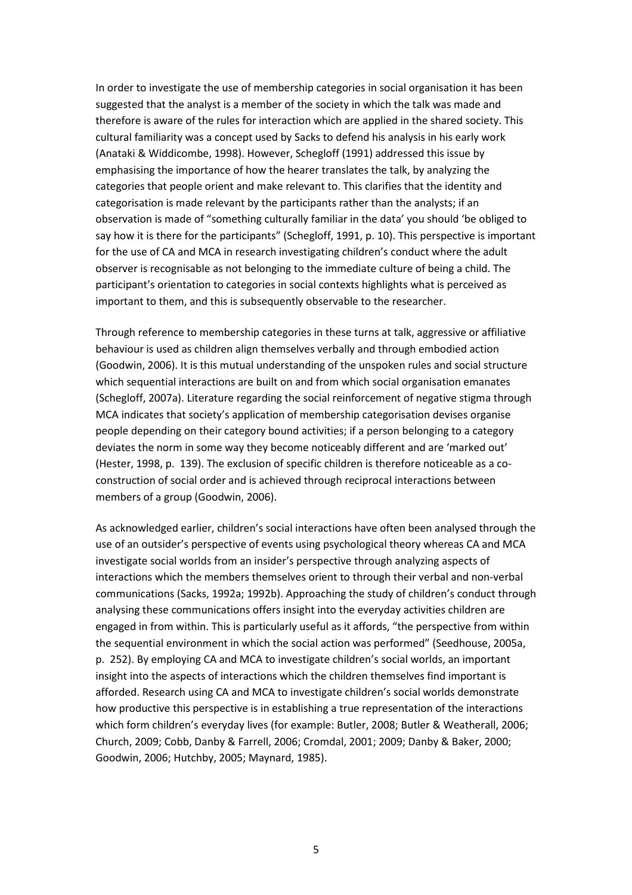In order to investigate the use of membership categories in social organisation it has been suggested that the analyst is a member of the society in which the talk was made and therefore is aware of the rules for interaction which are applied in the shared society. This cultural familiarity was a concept used by Sacks to defend his analysis in his early work (Anataki & Widdicombe, 1998). However, Schegloff (1991) addressed this issue by emphasising the importance of how the hearer translates the talk, by analyzing the categories that people orient and make relevant to. This clarifies that the identity and categorisation is made relevant by the participants rather than the analysts; if an observation is made of "something culturally familiar in the data' you should 'be obliged to say how it is there for the participants" (Schegloff, 1991, p. 10). This perspective is important for the use of CA and MCA in research investigating children's conduct where the adult observer is recognisable as not belonging to the immediate culture of being a child. The participant's orientation to categories in social contexts highlights what is perceived as important to them, and this is subsequently observable to the researcher.

Through reference to membership categories in these turns at talk, aggressive or affiliative behaviour is used as children align themselves verbally and through embodied action (Goodwin, 2006). It is this mutual understanding of the unspoken rules and social structure which sequential interactions are built on and from which social organisation emanates (Schegloff, 2007a). Literature regarding the social reinforcement of negative stigma through MCA indicates that society's application of membership categorisation devises organise people depending on their category bound activities; if a person belonging to a category deviates the norm in some way they become noticeably different and are 'marked out' (Hester, 1998, p. 139). The exclusion of specific children is therefore noticeable as a coconstruction of social order and is achieved through reciprocal interactions between members of a group (Goodwin, 2006).

As acknowledged earlier, children's social interactions have often been analysed through the use of an outsider's perspective of events using psychological theory whereas CA and MCA investigate social worlds from an insider's perspective through analyzing aspects of interactions which the members themselves orient to through their verbal and non-verbal communications (Sacks, 1992a; 1992b). Approaching the study of children's conduct through analysing these communications offers insight into the everyday activities children are engaged in from within. This is particularly useful as it affords, "the perspective from within the sequential environment in which the social action was performed" (Seedhouse, 2005a, p. 252). By employing CA and MCA to investigate children's social worlds, an important insight into the aspects of interactions which the children themselves find important is afforded. Research using CA and MCA to investigate children's social worlds demonstrate how productive this perspective is in establishing a true representation of the interactions which form children's everyday lives (for example: Butler, 2008; Butler & Weatherall, 2006; Church, 2009; Cobb, Danby & Farrell, 2006; Cromdal, 2001; 2009; Danby & Baker, 2000; Goodwin, 2006; Hutchby, 2005; Maynard, 1985).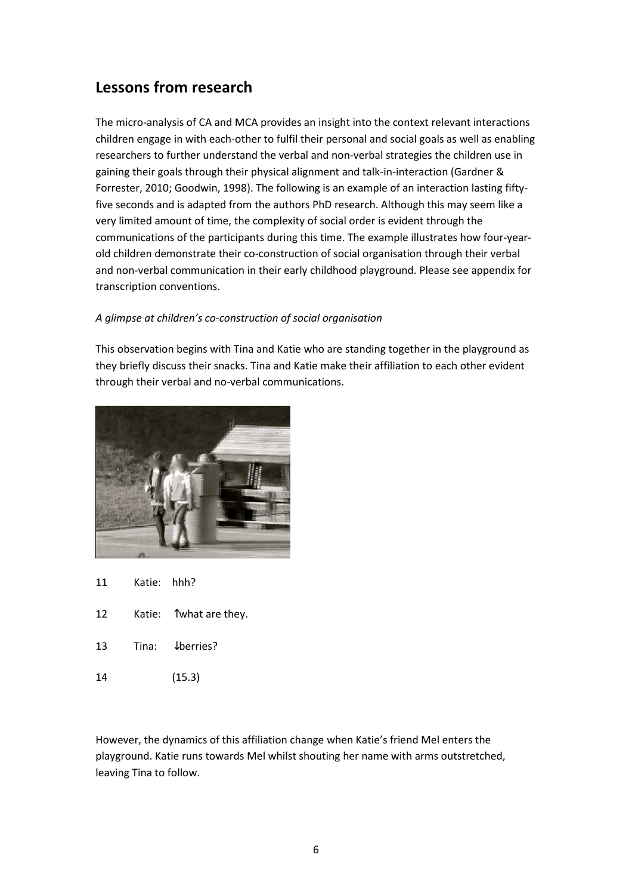### **Lessons from research**

The micro-analysis of CA and MCA provides an insight into the context relevant interactions children engage in with each-other to fulfil their personal and social goals as well as enabling researchers to further understand the verbal and non-verbal strategies the children use in gaining their goals through their physical alignment and talk-in-interaction (Gardner & Forrester, 2010; Goodwin, 1998). The following is an example of an interaction lasting fiftyfive seconds and is adapted from the authors PhD research. Although this may seem like a very limited amount of time, the complexity of social order is evident through the communications of the participants during this time. The example illustrates how four-yearold children demonstrate their co-construction of social organisation through their verbal and non-verbal communication in their early childhood playground. Please see appendix for transcription conventions.

#### *A glimpse at children's co-construction of social organisation*

This observation begins with Tina and Katie who are standing together in the playground as they briefly discuss their snacks. Tina and Katie make their affiliation to each other evident through their verbal and no-verbal communications.



- 11 Katie: hhh?
- 12 Katie: Twhat are they.
- 13 Tina: ↓berries?
- 14 (15.3)

However, the dynamics of this affiliation change when Katie's friend Mel enters the playground. Katie runs towards Mel whilst shouting her name with arms outstretched, leaving Tina to follow.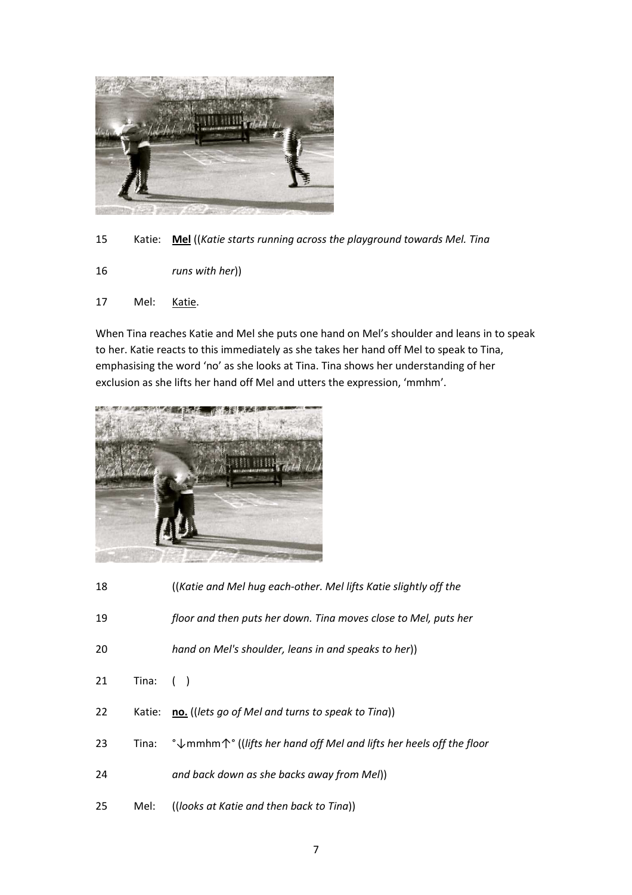

15 Katie: **Mel** ((*Katie starts running across the playground towards Mel. Tina* 

- 16 *runs with her*))
- 17 Mel: Katie.

When Tina reaches Katie and Mel she puts one hand on Mel's shoulder and leans in to speak to her. Katie reacts to this immediately as she takes her hand off Mel to speak to Tina, emphasising the word 'no' as she looks at Tina. Tina shows her understanding of her exclusion as she lifts her hand off Mel and utters the expression, 'mmhm'.



| 18 |             | (Katie and Mel hug each-other. Mel lifts Katie slightly off the                       |
|----|-------------|---------------------------------------------------------------------------------------|
| 19 |             | floor and then puts her down. Tina moves close to Mel, puts her                       |
| 20 |             | hand on Mel's shoulder, leans in and speaks to her))                                  |
| 21 | Tina: $( )$ |                                                                                       |
| 22 | Katie:      | no. ((lets go of Mel and turns to speak to Tina))                                     |
| 23 | Tina:       | $\sqrt{\ }$ mmhm $\uparrow$ (liffs her hand off Mel and lifts her heels off the floor |
| 24 |             | and back down as she backs away from Mel))                                            |
| 25 | Mel:        | ((looks at Katie and then back to Tina))                                              |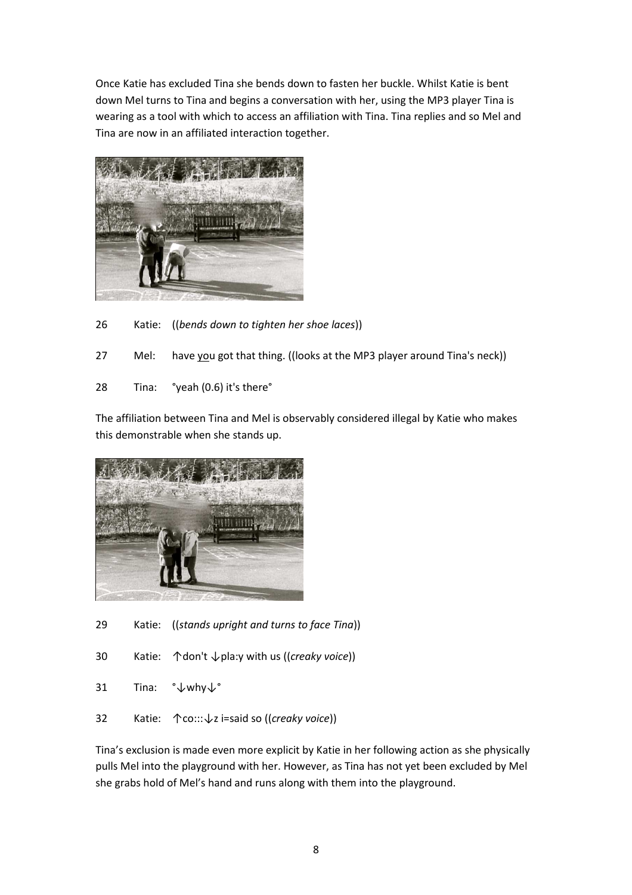Once Katie has excluded Tina she bends down to fasten her buckle. Whilst Katie is bent down Mel turns to Tina and begins a conversation with her, using the MP3 player Tina is wearing as a tool with which to access an affiliation with Tina. Tina replies and so Mel and Tina are now in an affiliated interaction together.



26 Katie: ((*bends down to tighten her shoe laces*))

27 Mel: have you got that thing. ((looks at the MP3 player around Tina's neck))

28 Tina: °yeah (0.6) it's there°

The affiliation between Tina and Mel is observably considered illegal by Katie who makes this demonstrable when she stands up.



- 29 Katie: ((*stands upright and turns to face Tina*))
- 30 Katie: ↑don't ↓pla:y with us ((*creaky voice*))
- 31 Tina: °↓why↓°
- 32 Katie: ↑co:::↓z i=said so ((*creaky voice*))

Tina's exclusion is made even more explicit by Katie in her following action as she physically pulls Mel into the playground with her. However, as Tina has not yet been excluded by Mel she grabs hold of Mel's hand and runs along with them into the playground.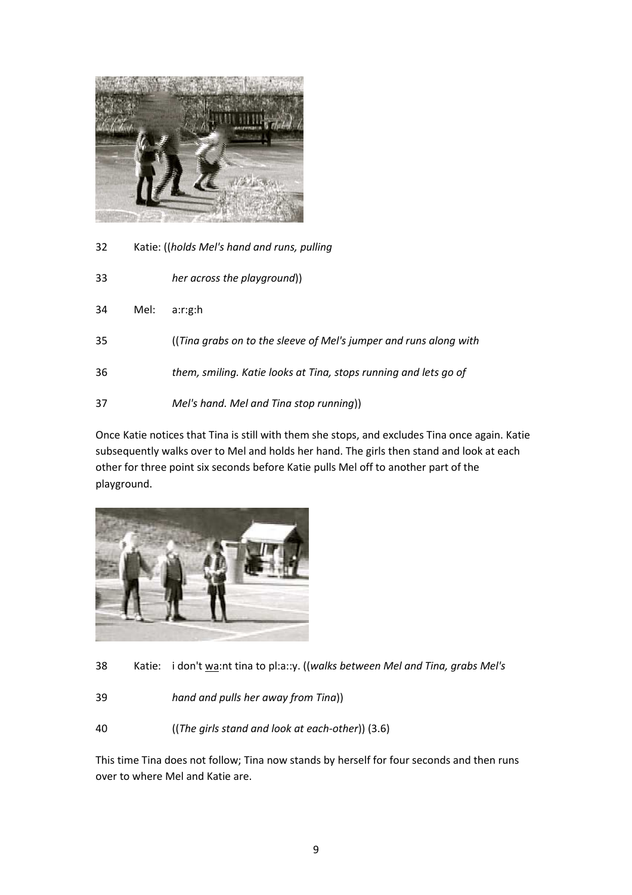

32 Katie: ((*holds Mel's hand and runs, pulling* 

| 33 |      | her across the playground))                                       |
|----|------|-------------------------------------------------------------------|
| 34 | Mel: | a:r:g:h                                                           |
| 35 |      | ((Tina grabs on to the sleeve of Mel's jumper and runs along with |
| 36 |      | them, smiling. Katie looks at Tina, stops running and lets go of  |
| 37 |      | Mel's hand. Mel and Tina stop running))                           |

Once Katie notices that Tina is still with them she stops, and excludes Tina once again. Katie subsequently walks over to Mel and holds her hand. The girls then stand and look at each other for three point six seconds before Katie pulls Mel off to another part of the playground.



38 Katie: i don't wa:nt tina to pl:a::y. ((*walks between Mel and Tina, grabs Mel's* 

- 39 *hand and pulls her away from Tina*))
- 40 ((*The girls stand and look at each-other*)) (3.6)

This time Tina does not follow; Tina now stands by herself for four seconds and then runs over to where Mel and Katie are.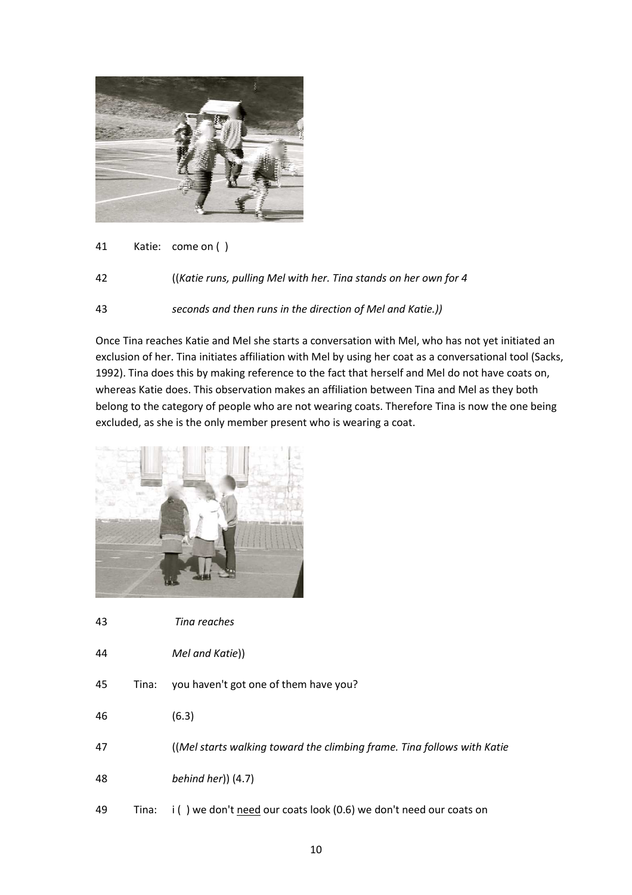

- 41 Katie: come on ( )
- 42 ((*Katie runs, pulling Mel with her. Tina stands on her own for 4*
- 43 *seconds and then runs in the direction of Mel and Katie.))*

Once Tina reaches Katie and Mel she starts a conversation with Mel, who has not yet initiated an exclusion of her. Tina initiates affiliation with Mel by using her coat as a conversational tool (Sacks, 1992). Tina does this by making reference to the fact that herself and Mel do not have coats on, whereas Katie does. This observation makes an affiliation between Tina and Mel as they both belong to the category of people who are not wearing coats. Therefore Tina is now the one being excluded, as she is the only member present who is wearing a coat.



- 43 *Tina reaches*
- 44 *Mel and Katie*))
- 45 Tina: you haven't got one of them have you?
- 46 (6.3)
- 47 ((*Mel starts walking toward the climbing frame. Tina follows with Katie*
- 48 *behind her*)) (4.7)
- 49 Tina: i ( ) we don't need our coats look (0.6) we don't need our coats on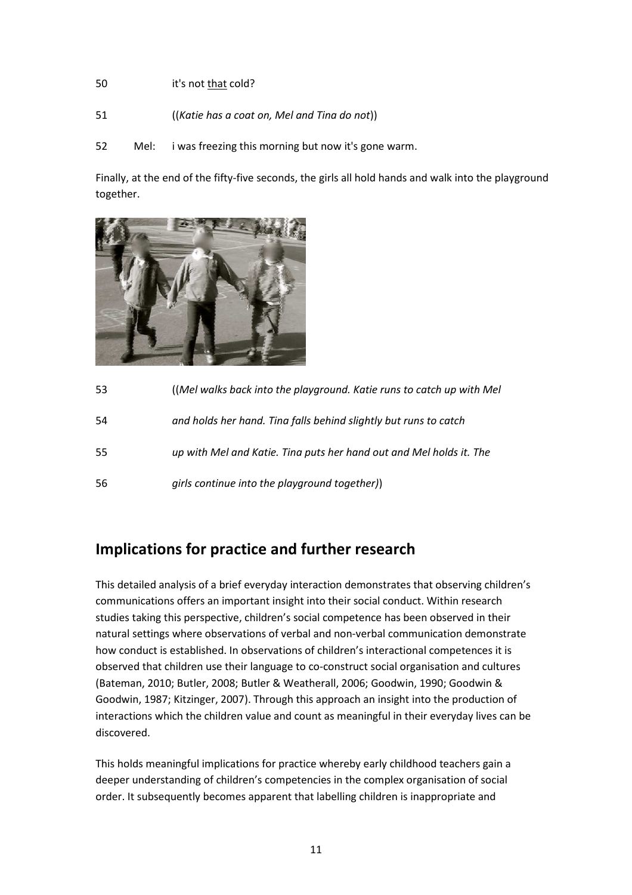#### 50 it's not that cold?

- 51 ((*Katie has a coat on, Mel and Tina do not*))
- 52 Mel: i was freezing this morning but now it's gone warm.

Finally, at the end of the fifty-five seconds, the girls all hold hands and walk into the playground together.



| 53 | (Mel walks back into the playground. Katie runs to catch up with Mel |
|----|----------------------------------------------------------------------|
| 54 | and holds her hand. Tina falls behind slightly but runs to catch     |
| 55 | up with Mel and Katie. Tina puts her hand out and Mel holds it. The  |
| 56 | girls continue into the playground together))                        |

### **Implications for practice and further research**

This detailed analysis of a brief everyday interaction demonstrates that observing children's communications offers an important insight into their social conduct. Within research studies taking this perspective, children's social competence has been observed in their natural settings where observations of verbal and non-verbal communication demonstrate how conduct is established. In observations of children's interactional competences it is observed that children use their language to co-construct social organisation and cultures (Bateman, 2010; Butler, 2008; Butler & Weatherall, 2006; Goodwin, 1990; Goodwin & Goodwin, 1987; Kitzinger, 2007). Through this approach an insight into the production of interactions which the children value and count as meaningful in their everyday lives can be discovered.

This holds meaningful implications for practice whereby early childhood teachers gain a deeper understanding of children's competencies in the complex organisation of social order. It subsequently becomes apparent that labelling children is inappropriate and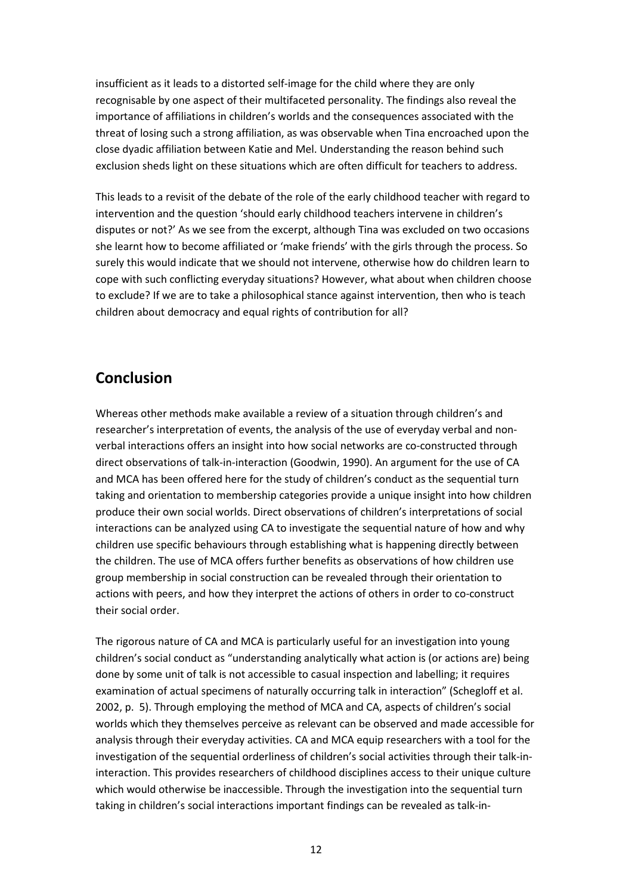insufficient as it leads to a distorted self-image for the child where they are only recognisable by one aspect of their multifaceted personality. The findings also reveal the importance of affiliations in children's worlds and the consequences associated with the threat of losing such a strong affiliation, as was observable when Tina encroached upon the close dyadic affiliation between Katie and Mel. Understanding the reason behind such exclusion sheds light on these situations which are often difficult for teachers to address.

This leads to a revisit of the debate of the role of the early childhood teacher with regard to intervention and the question 'should early childhood teachers intervene in children's disputes or not?' As we see from the excerpt, although Tina was excluded on two occasions she learnt how to become affiliated or 'make friends' with the girls through the process. So surely this would indicate that we should not intervene, otherwise how do children learn to cope with such conflicting everyday situations? However, what about when children choose to exclude? If we are to take a philosophical stance against intervention, then who is teach children about democracy and equal rights of contribution for all?

### **Conclusion**

Whereas other methods make available a review of a situation through children's and researcher's interpretation of events, the analysis of the use of everyday verbal and nonverbal interactions offers an insight into how social networks are co-constructed through direct observations of talk-in-interaction (Goodwin, 1990). An argument for the use of CA and MCA has been offered here for the study of children's conduct as the sequential turn taking and orientation to membership categories provide a unique insight into how children produce their own social worlds. Direct observations of children's interpretations of social interactions can be analyzed using CA to investigate the sequential nature of how and why children use specific behaviours through establishing what is happening directly between the children. The use of MCA offers further benefits as observations of how children use group membership in social construction can be revealed through their orientation to actions with peers, and how they interpret the actions of others in order to co-construct their social order.

The rigorous nature of CA and MCA is particularly useful for an investigation into young children's social conduct as "understanding analytically what action is (or actions are) being done by some unit of talk is not accessible to casual inspection and labelling; it requires examination of actual specimens of naturally occurring talk in interaction" (Schegloff et al. 2002, p. 5). Through employing the method of MCA and CA, aspects of children's social worlds which they themselves perceive as relevant can be observed and made accessible for analysis through their everyday activities. CA and MCA equip researchers with a tool for the investigation of the sequential orderliness of children's social activities through their talk-ininteraction. This provides researchers of childhood disciplines access to their unique culture which would otherwise be inaccessible. Through the investigation into the sequential turn taking in children's social interactions important findings can be revealed as talk-in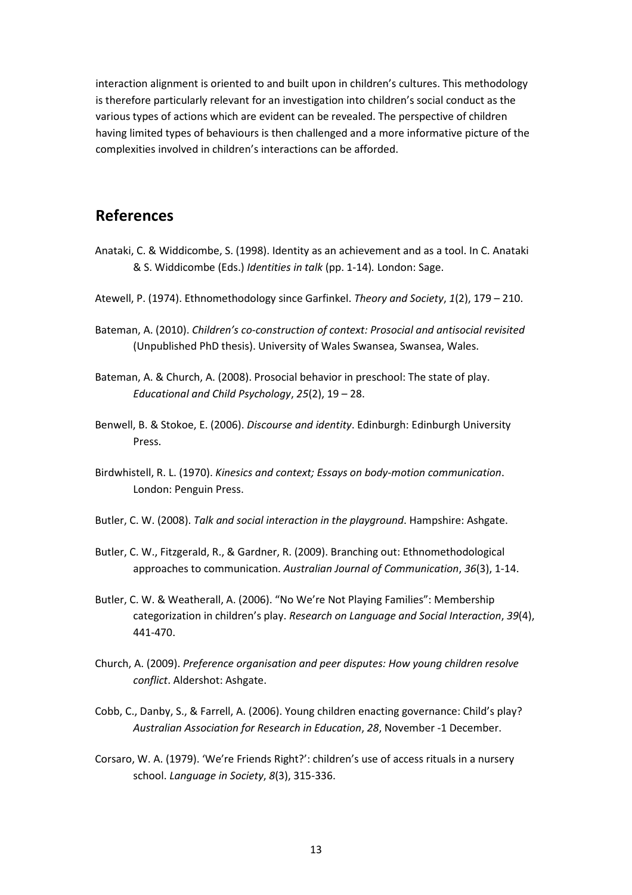interaction alignment is oriented to and built upon in children's cultures. This methodology is therefore particularly relevant for an investigation into children's social conduct as the various types of actions which are evident can be revealed. The perspective of children having limited types of behaviours is then challenged and a more informative picture of the complexities involved in children's interactions can be afforded.

#### **References**

- Anataki, C. & Widdicombe, S. (1998). Identity as an achievement and as a tool. In C. Anataki & S. Widdicombe (Eds.) *Identities in talk* (pp. 1-14)*.* London: Sage.
- Atewell, P. (1974). Ethnomethodology since Garfinkel. *Theory and Society*, *1*(2), 179 210.
- Bateman, A. (2010). *Children's co-construction of context: Prosocial and antisocial revisited* (Unpublished PhD thesis). University of Wales Swansea, Swansea, Wales.
- Bateman, A. & Church, A. (2008). Prosocial behavior in preschool: The state of play. *Educational and Child Psychology*, *25*(2), 19 – 28.
- Benwell, B. & Stokoe, E. (2006). *Discourse and identity*. Edinburgh: Edinburgh University Press.
- Birdwhistell, R. L. (1970). *Kinesics and context; Essays on body-motion communication*. London: Penguin Press.
- Butler, C. W. (2008). *Talk and social interaction in the playground*. Hampshire: Ashgate.
- Butler, C. W., Fitzgerald, R., & Gardner, R. (2009). Branching out: Ethnomethodological approaches to communication. *Australian Journal of Communication*, *36*(3), 1-14.
- Butler, C. W. & Weatherall, A. (2006). "No We're Not Playing Families": Membership categorization in children's play. *Research on Language and Social Interaction*, *39*(4), 441-470.
- Church, A. (2009). *Preference organisation and peer disputes: How young children resolve conflict*. Aldershot: Ashgate.
- Cobb, C., Danby, S., & Farrell, A. (2006). Young children enacting governance: Child's play? *Australian Association for Research in Education*, *28*, November -1 December.
- Corsaro, W. A. (1979). 'We're Friends Right?': children's use of access rituals in a nursery school. *Language in Society*, *8*(3), 315-336.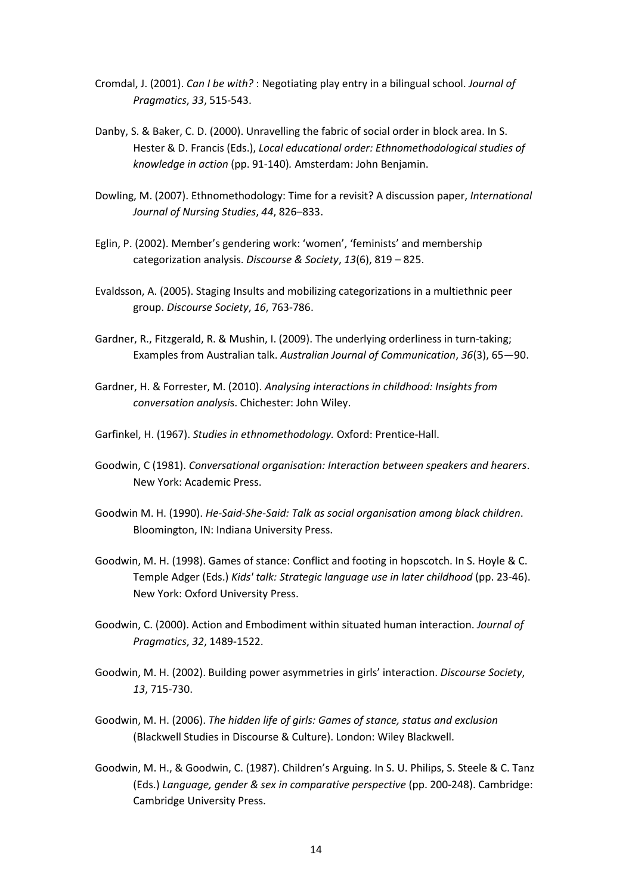- Cromdal, J. (2001). *Can I be with?* : Negotiating play entry in a bilingual school. *Journal of Pragmatics*, *33*, 515-543.
- Danby, S. & Baker, C. D. (2000). Unravelling the fabric of social order in block area. In S. Hester & D. Francis (Eds.), *Local educational order: Ethnomethodological studies of knowledge in action* (pp. 91-140)*.* Amsterdam: John Benjamin.
- Dowling, M. (2007). Ethnomethodology: Time for a revisit? A discussion paper, *International Journal of Nursing Studies*, *44*, 826–833.
- Eglin, P. (2002). Member's gendering work: 'women', 'feminists' and membership categorization analysis. *Discourse & Society*, *13*(6), 819 – 825.
- Evaldsson, A. (2005). Staging Insults and mobilizing categorizations in a multiethnic peer group. *Discourse Society*, *16*, 763-786.
- Gardner, R., Fitzgerald, R. & Mushin, I. (2009). The underlying orderliness in turn-taking; Examples from Australian talk. *Australian Journal of Communication*, *36*(3), 65—90.
- Gardner, H. & Forrester, M. (2010). *Analysing interactions in childhood: Insights from conversation analysi*s. Chichester: John Wiley.
- Garfinkel, H. (1967). *Studies in ethnomethodology.* Oxford: Prentice-Hall.
- Goodwin, C (1981). *Conversational organisation: Interaction between speakers and hearers*. New York: Academic Press.
- Goodwin M. H. (1990). *He-Said-She-Said: Talk as social organisation among black children*. Bloomington, IN: Indiana University Press.
- Goodwin, M. H. (1998). Games of stance: Conflict and footing in hopscotch. In S. Hoyle & C. Temple Adger (Eds.) *Kids' talk: Strategic language use in later childhood* (pp. 23-46). New York: Oxford University Press.
- Goodwin, C. (2000). Action and Embodiment within situated human interaction. *Journal of Pragmatics*, *32*, 1489-1522.
- Goodwin, M. H. (2002). Building power asymmetries in girls' interaction. *Discourse Society*, *13*, 715-730.
- Goodwin, M. H. (2006). *The hidden life of girls: Games of stance, status and exclusion*  (Blackwell Studies in Discourse & Culture). London: Wiley Blackwell.
- Goodwin, M. H., & Goodwin, C. (1987). Children's Arguing. In S. U. Philips, S. Steele & C. Tanz (Eds.) *Language, gender & sex in comparative perspective* (pp. 200-248). Cambridge: Cambridge University Press.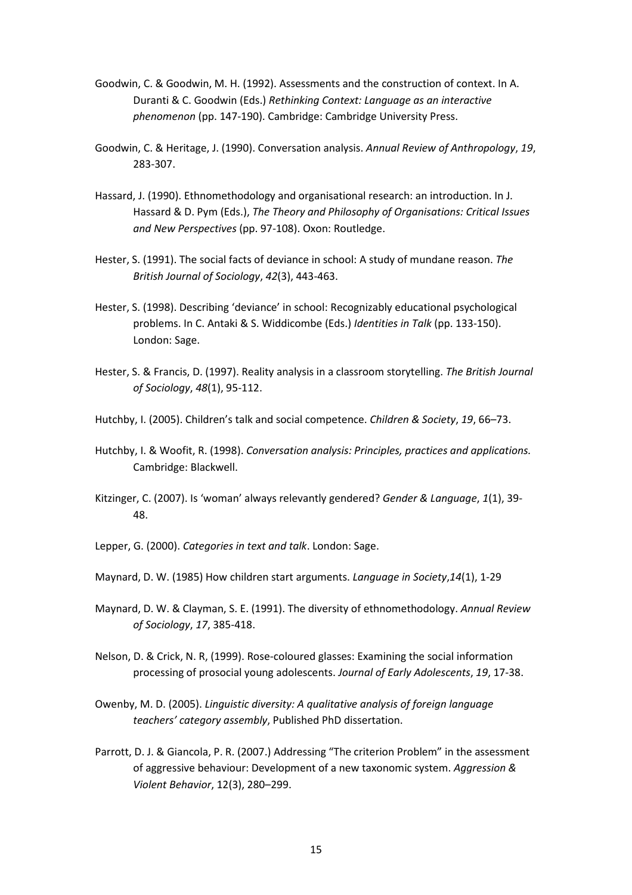- Goodwin, C. & Goodwin, M. H. (1992). Assessments and the construction of context. In A. Duranti & C. Goodwin (Eds.) *Rethinking Context: Language as an interactive phenomenon* (pp. 147-190). Cambridge: Cambridge University Press.
- Goodwin, C. & Heritage, J. (1990). Conversation analysis. *Annual Review of Anthropology*, *19*, 283-307.
- Hassard, J. (1990). Ethnomethodology and organisational research: an introduction. In J. Hassard & D. Pym (Eds.), *The Theory and Philosophy of Organisations: Critical Issues and New Perspectives* (pp. 97-108). Oxon: Routledge.
- Hester, S. (1991). The social facts of deviance in school: A study of mundane reason. *The British Journal of Sociology*, *42*(3), 443-463.
- Hester, S. (1998). Describing 'deviance' in school: Recognizably educational psychological problems. In C. Antaki & S. Widdicombe (Eds.) *Identities in Talk* (pp. 133-150). London: Sage.
- Hester, S. & Francis, D. (1997). Reality analysis in a classroom storytelling. *The British Journal of Sociology*, *48*(1), 95-112.
- Hutchby, I. (2005). Children's talk and social competence. *Children & Society*, *19*, 66–73.
- Hutchby, I. & Woofit, R. (1998). *Conversation analysis: Principles, practices and applications.* Cambridge: Blackwell.
- Kitzinger, C. (2007). Is 'woman' always relevantly gendered? *Gender & Language*, *1*(1), 39- 48.
- Lepper, G. (2000). *Categories in text and talk*. London: Sage.
- Maynard, D. W. (1985) How children start arguments. *Language in Society*,*14*(1), 1-29
- Maynard, D. W. & Clayman, S. E. (1991). The diversity of ethnomethodology. *Annual Review of Sociology*, *17*, 385-418.
- Nelson, D. & Crick, N. R, (1999). Rose-coloured glasses: Examining the social information processing of prosocial young adolescents. *Journal of Early Adolescents*, *19*, 17-38.
- Owenby, M. D. (2005). *Linguistic diversity: A qualitative analysis of foreign language teachers' category assembly*, Published PhD dissertation.
- Parrott, D. J. & Giancola, P. R. (2007.) Addressing "The criterion Problem" in the assessment of aggressive behaviour: Development of a new taxonomic system. *Aggression & Violent Behavior*, 12(3), 280–299.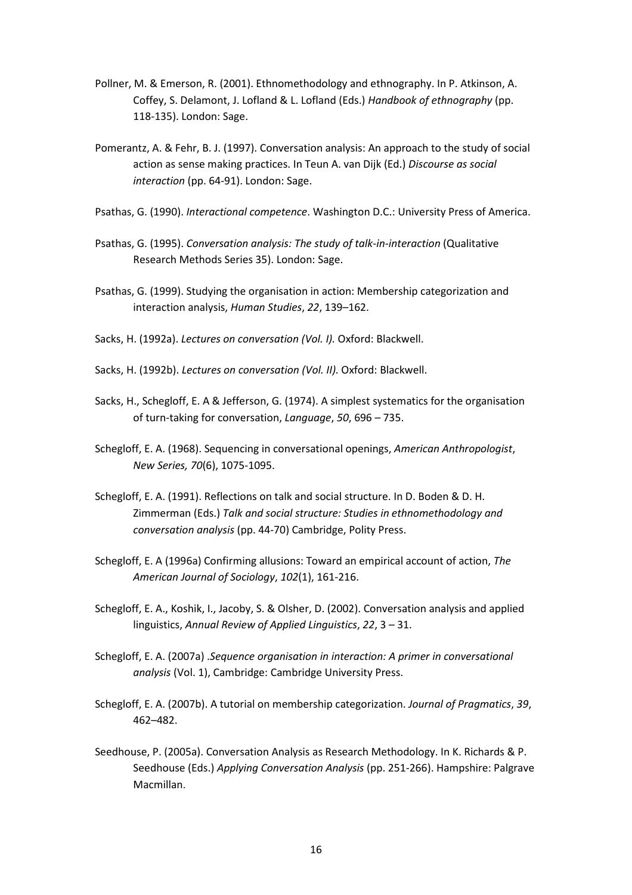- Pollner, M. & Emerson, R. (2001). Ethnomethodology and ethnography. In P. Atkinson, A. Coffey, S. Delamont, J. Lofland & L. Lofland (Eds.) *Handbook of ethnography* (pp. 118-135). London: Sage.
- Pomerantz, A. & Fehr, B. J. (1997). Conversation analysis: An approach to the study of social action as sense making practices. In Teun A. van Dijk (Ed.) *Discourse as social interaction* (pp. 64-91). London: Sage.
- Psathas, G. (1990). *Interactional competence*. Washington D.C.: University Press of America.
- Psathas, G. (1995). *Conversation analysis: The study of talk-in-interaction* (Qualitative Research Methods Series 35). London: Sage.
- Psathas, G. (1999). Studying the organisation in action: Membership categorization and interaction analysis, *Human Studies*, *22*, 139–162.
- Sacks, H. (1992a). *Lectures on conversation (Vol. I).* Oxford: Blackwell.
- Sacks, H. (1992b). *Lectures on conversation (Vol. II).* Oxford: Blackwell.
- Sacks, H., Schegloff, E. A & Jefferson, G. (1974). A simplest systematics for the organisation of turn-taking for conversation, *Language*, *50*, 696 – 735.
- Schegloff, E. A. (1968). Sequencing in conversational openings, *American Anthropologist*, *New Series, 70*(6), 1075-1095.
- Schegloff, E. A. (1991). Reflections on talk and social structure. In D. Boden & D. H. Zimmerman (Eds.) *Talk and social structure: Studies in ethnomethodology and conversation analysis* (pp. 44-70) Cambridge, Polity Press.
- Schegloff, E. A (1996a) Confirming allusions: Toward an empirical account of action, *The American Journal of Sociology*, *102*(1), 161-216.
- Schegloff, E. A., Koshik, I., Jacoby, S. & Olsher, D. (2002). Conversation analysis and applied linguistics, *Annual Review of Applied Linguistics*, *22*, 3 – 31.
- Schegloff, E. A. (2007a) .*Sequence organisation in interaction: A primer in conversational analysis* (Vol. 1), Cambridge: Cambridge University Press.
- Schegloff, E. A. (2007b). A tutorial on membership categorization. *Journal of Pragmatics*, *39*, 462–482.
- Seedhouse, P. (2005a). Conversation Analysis as Research Methodology. In K. Richards & P. Seedhouse (Eds.) *Applying Conversation Analysis* (pp. 251-266). Hampshire: Palgrave Macmillan.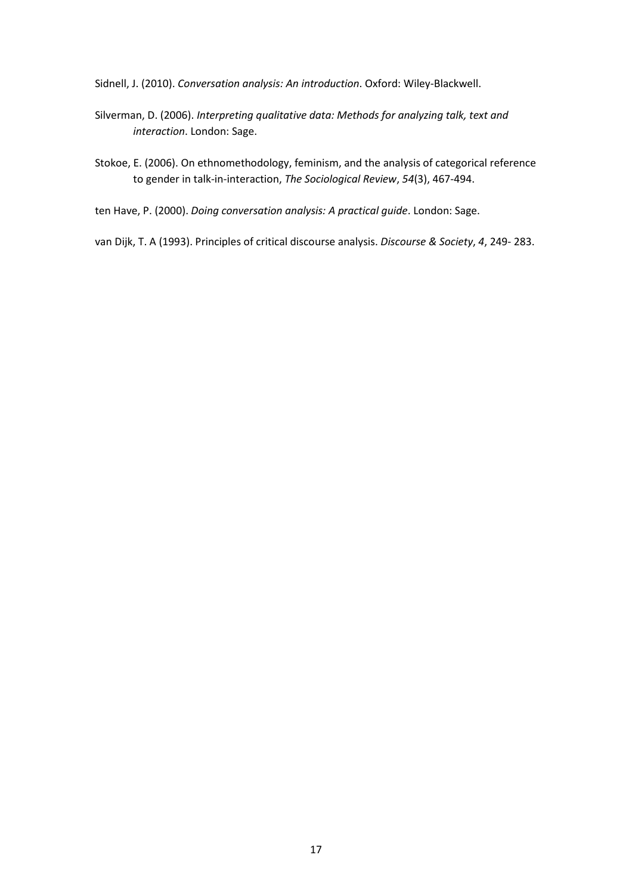Sidnell, J. (2010). *Conversation analysis: An introduction*. Oxford: Wiley-Blackwell.

- Silverman, D. (2006). *Interpreting qualitative data: Methods for analyzing talk, text and interaction*. London: Sage.
- Stokoe, E. (2006). On ethnomethodology, feminism, and the analysis of categorical reference to gender in talk-in-interaction, *The Sociological Review*, *54*(3), 467-494.
- ten Have, P. (2000). *Doing conversation analysis: A practical guide*. London: Sage.

van Dijk, T. A (1993). Principles of critical discourse analysis. *Discourse & Society*, *4*, 249- 283.